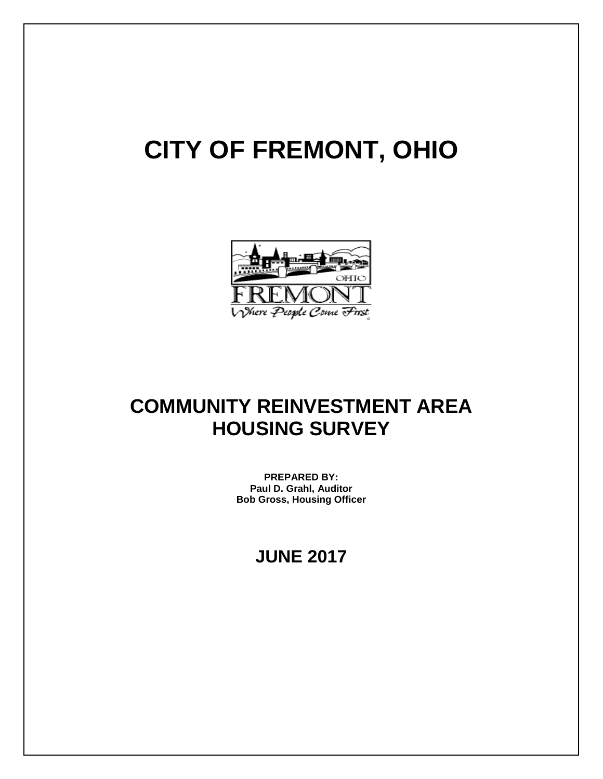# **CITY OF FREMONT, OHIO**



## **COMMUNITY REINVESTMENT AREA HOUSING SURVEY**

**PREPARED BY: Paul D. Grahl, Auditor Bob Gross, Housing Officer**

## **JUNE 2017**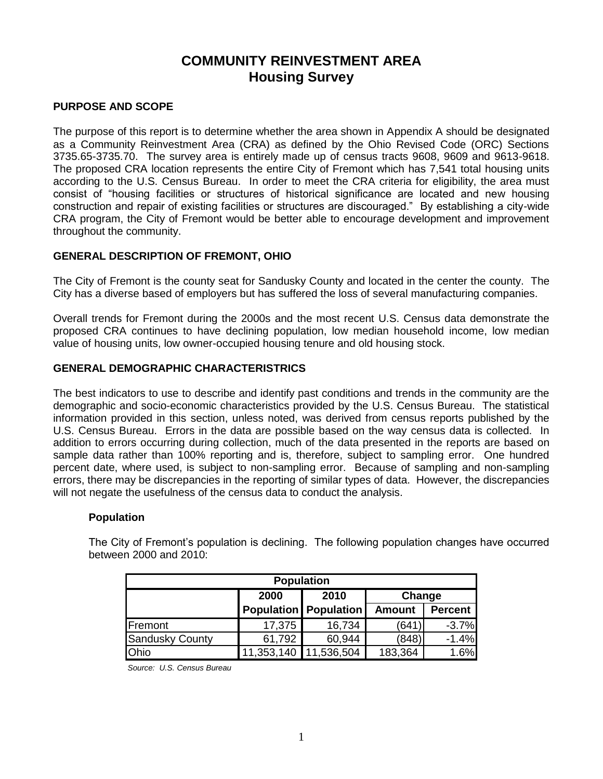#### **PURPOSE AND SCOPE**

The purpose of this report is to determine whether the area shown in Appendix A should be designated as a Community Reinvestment Area (CRA) as defined by the Ohio Revised Code (ORC) Sections 3735.65-3735.70. The survey area is entirely made up of census tracts 9608, 9609 and 9613-9618. The proposed CRA location represents the entire City of Fremont which has 7,541 total housing units according to the U.S. Census Bureau. In order to meet the CRA criteria for eligibility, the area must consist of "housing facilities or structures of historical significance are located and new housing construction and repair of existing facilities or structures are discouraged." By establishing a city-wide CRA program, the City of Fremont would be better able to encourage development and improvement throughout the community.

#### **GENERAL DESCRIPTION OF FREMONT, OHIO**

The City of Fremont is the county seat for Sandusky County and located in the center the county. The City has a diverse based of employers but has suffered the loss of several manufacturing companies.

Overall trends for Fremont during the 2000s and the most recent U.S. Census data demonstrate the proposed CRA continues to have declining population, low median household income, low median value of housing units, low owner-occupied housing tenure and old housing stock.

#### **GENERAL DEMOGRAPHIC CHARACTERISTRICS**

The best indicators to use to describe and identify past conditions and trends in the community are the demographic and socio-economic characteristics provided by the U.S. Census Bureau. The statistical information provided in this section, unless noted, was derived from census reports published by the U.S. Census Bureau. Errors in the data are possible based on the way census data is collected. In addition to errors occurring during collection, much of the data presented in the reports are based on sample data rather than 100% reporting and is, therefore, subject to sampling error. One hundred percent date, where used, is subject to non-sampling error. Because of sampling and non-sampling errors, there may be discrepancies in the reporting of similar types of data. However, the discrepancies will not negate the usefulness of the census data to conduct the analysis.

#### **Population**

The City of Fremont's population is declining. The following population changes have occurred between 2000 and 2010:

| <b>Population</b>      |                       |                                |               |                |  |  |  |
|------------------------|-----------------------|--------------------------------|---------------|----------------|--|--|--|
|                        | 2000                  | 2010                           | Change        |                |  |  |  |
|                        |                       | <b>Population   Population</b> | <b>Amount</b> | <b>Percent</b> |  |  |  |
| Fremont                | 17,375                | 16,734                         | 641'          | $-3.7%$        |  |  |  |
| <b>Sandusky County</b> | 61,792                | 60,944                         | (848)         | $-1.4%$        |  |  |  |
| Ohio                   | 11,353,140 11,536,504 |                                | 183,364       | 1.6%           |  |  |  |

*Source: U.S. Census Bureau*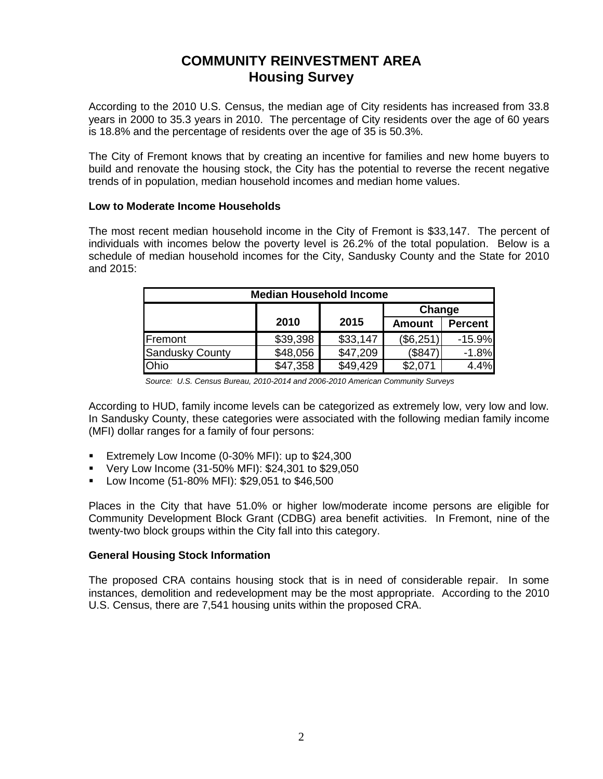According to the 2010 U.S. Census, the median age of City residents has increased from 33.8 years in 2000 to 35.3 years in 2010. The percentage of City residents over the age of 60 years is 18.8% and the percentage of residents over the age of 35 is 50.3%.

The City of Fremont knows that by creating an incentive for families and new home buyers to build and renovate the housing stock, the City has the potential to reverse the recent negative trends of in population, median household incomes and median home values.

#### **Low to Moderate Income Households**

The most recent median household income in the City of Fremont is \$33,147. The percent of individuals with incomes below the poverty level is 26.2% of the total population. Below is a schedule of median household incomes for the City, Sandusky County and the State for 2010 and 2015:

| <b>Median Household Income</b> |          |          |               |                |  |  |  |
|--------------------------------|----------|----------|---------------|----------------|--|--|--|
|                                |          |          | Change        |                |  |  |  |
|                                | 2010     | 2015     | <b>Amount</b> | <b>Percent</b> |  |  |  |
| Fremont                        | \$39,398 | \$33,147 | (\$6,251)     | $-15.9%$       |  |  |  |
| <b>Sandusky County</b>         | \$48,056 | \$47,209 | (\$847)       | $-1.8%$        |  |  |  |
| Ohio                           | \$47,358 | \$49,429 | \$2,071       | 4.4%           |  |  |  |

*Source: U.S. Census Bureau, 2010-2014 and 2006-2010 American Community Surveys*

According to HUD, family income levels can be categorized as extremely low, very low and low. In Sandusky County, these categories were associated with the following median family income (MFI) dollar ranges for a family of four persons:

- **Extremely Low Income (0-30% MFI): up to \$24,300**
- Very Low Income (31-50% MFI): \$24,301 to \$29,050
- Low Income (51-80% MFI): \$29,051 to \$46,500

Places in the City that have 51.0% or higher low/moderate income persons are eligible for Community Development Block Grant (CDBG) area benefit activities. In Fremont, nine of the twenty-two block groups within the City fall into this category.

#### **General Housing Stock Information**

The proposed CRA contains housing stock that is in need of considerable repair. In some instances, demolition and redevelopment may be the most appropriate. According to the 2010 U.S. Census, there are 7,541 housing units within the proposed CRA.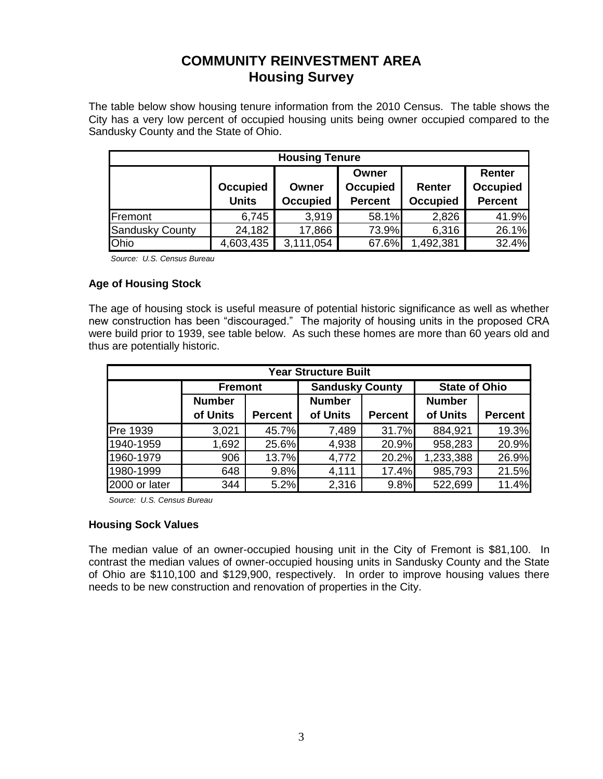The table below show housing tenure information from the 2010 Census. The table shows the City has a very low percent of occupied housing units being owner occupied compared to the Sandusky County and the State of Ohio.

| <b>Housing Tenure</b>  |                 |                 |                 |                 |                 |  |  |  |
|------------------------|-----------------|-----------------|-----------------|-----------------|-----------------|--|--|--|
|                        |                 |                 | Owner           |                 | <b>Renter</b>   |  |  |  |
|                        | <b>Occupied</b> | Owner           | <b>Occupied</b> | Renter          | <b>Occupied</b> |  |  |  |
|                        | <b>Units</b>    | <b>Occupied</b> | <b>Percent</b>  | <b>Occupied</b> | <b>Percent</b>  |  |  |  |
| Fremont                | 6,745           | 3,919           | 58.1%           | 2,826           | 41.9%           |  |  |  |
| <b>Sandusky County</b> | 24,182          | 17,866          | 73.9%           | 6,316           | 26.1%           |  |  |  |
| Ohio                   | 4,603,435       | 3,111,054       | 67.6%           | 1,492,381       | 32.4%           |  |  |  |

*Source: U.S. Census Bureau*

#### **Age of Housing Stock**

The age of housing stock is useful measure of potential historic significance as well as whether new construction has been "discouraged." The majority of housing units in the proposed CRA were build prior to 1939, see table below. As such these homes are more than 60 years old and thus are potentially historic.

| <b>Year Structure Built</b> |                |                |                        |                |                      |                |  |  |
|-----------------------------|----------------|----------------|------------------------|----------------|----------------------|----------------|--|--|
|                             | <b>Fremont</b> |                | <b>Sandusky County</b> |                | <b>State of Ohio</b> |                |  |  |
|                             | <b>Number</b>  |                | <b>Number</b>          |                | <b>Number</b>        |                |  |  |
|                             | of Units       | <b>Percent</b> | of Units               | <b>Percent</b> | of Units             | <b>Percent</b> |  |  |
| <b>Pre 1939</b>             | 3,021          | 45.7%          | 7,489                  | 31.7%          | 884,921              | 19.3%          |  |  |
| 1940-1959                   | 1,692          | 25.6%          | 4,938                  | 20.9%          | 958,283              | 20.9%          |  |  |
| 1960-1979                   | 906            | 13.7%          | 4,772                  | 20.2%          | 1,233,388            | 26.9%          |  |  |
| 1980-1999                   | 648            | 9.8%           | 4,111                  | 17.4%          | 985,793              | 21.5%          |  |  |
| 2000 or later               | 344            | 5.2%           | 2,316                  | 9.8%           | 522,699              | 11.4%          |  |  |

*Source: U.S. Census Bureau*

#### **Housing Sock Values**

The median value of an owner-occupied housing unit in the City of Fremont is \$81,100. In contrast the median values of owner-occupied housing units in Sandusky County and the State of Ohio are \$110,100 and \$129,900, respectively. In order to improve housing values there needs to be new construction and renovation of properties in the City.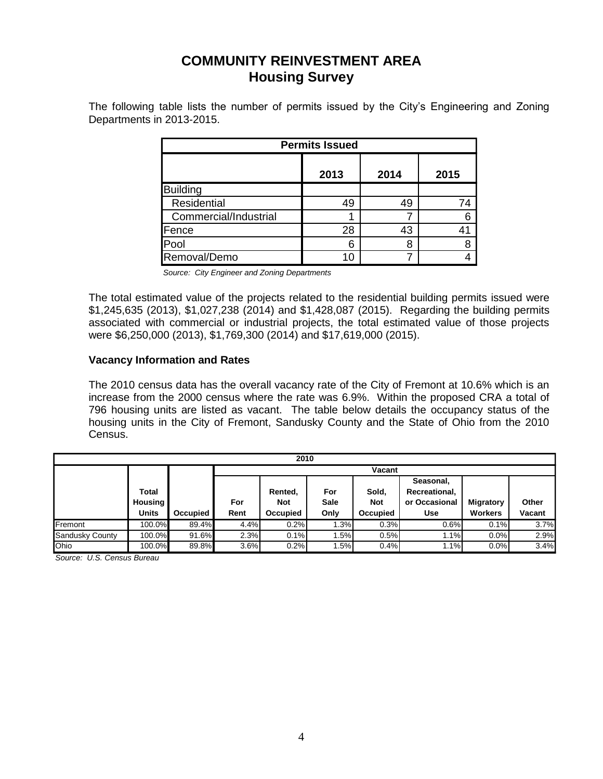The following table lists the number of permits issued by the City's Engineering and Zoning Departments in 2013-2015.

| <b>Permits Issued</b> |      |      |      |  |  |  |  |
|-----------------------|------|------|------|--|--|--|--|
|                       | 2013 | 2014 | 2015 |  |  |  |  |
| <b>Building</b>       |      |      |      |  |  |  |  |
| Residential           | 49   | 49   | 74   |  |  |  |  |
| Commercial/Industrial |      |      |      |  |  |  |  |
| Fence                 | 28   | 43   |      |  |  |  |  |
| Pool                  | 6    | 8    |      |  |  |  |  |
| Removal/Demo          | 10   |      |      |  |  |  |  |

*Source: City Engineer and Zoning Departments*

The total estimated value of the projects related to the residential building permits issued were \$1,245,635 (2013), \$1,027,238 (2014) and \$1,428,087 (2015). Regarding the building permits associated with commercial or industrial projects, the total estimated value of those projects were \$6,250,000 (2013), \$1,769,300 (2014) and \$17,619,000 (2015).

#### **Vacancy Information and Rates**

The 2010 census data has the overall vacancy rate of the City of Fremont at 10.6% which is an increase from the 2000 census where the rate was 6.9%. Within the proposed CRA a total of 796 housing units are listed as vacant. The table below details the occupancy status of the housing units in the City of Fremont, Sandusky County and the State of Ohio from the 2010 Census.

| 2010            |                                                |          |             |                                   |                            |                                 |                                                    |                                    |                 |
|-----------------|------------------------------------------------|----------|-------------|-----------------------------------|----------------------------|---------------------------------|----------------------------------------------------|------------------------------------|-----------------|
|                 |                                                |          |             | Vacant                            |                            |                                 |                                                    |                                    |                 |
|                 | <b>Total</b><br><b>Housing</b><br><b>Units</b> | Occupied | For<br>Rent | Rented,<br><b>Not</b><br>Occupied | For<br><b>Sale</b><br>Only | Sold,<br><b>Not</b><br>Occupied | Seasonal,<br>Recreational,<br>or Occasional<br>Use | <b>Migratory</b><br><b>Workers</b> | Other<br>Vacant |
| Fremont         | 100.0%                                         | 89.4%    | 4.4%        | 0.2%                              | 1.3%                       | 0.3%                            | 0.6%                                               | 0.1%                               | 3.7%            |
| Sandusky County | 100.0%                                         | 91.6%    | 2.3%        | 0.1%                              | .5%                        | 0.5%                            | 1.1%                                               | 0.0%                               | 2.9%            |
| Ohio            | 100.0%                                         | 89.8%    | 3.6%        | 0.2%                              | .5%                        | 0.4%                            | 1.1%                                               | 0.0%                               | 3.4%            |

*Source: U.S. Census Bureau*